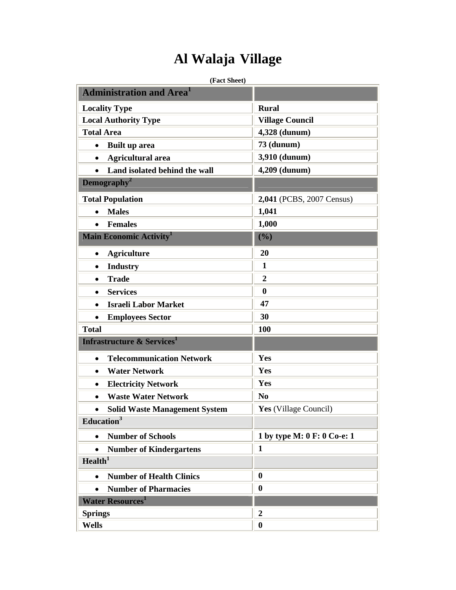## **Al Walaja Village**

## **(Fact Sheet)**

| <b>Administration and Area<sup>1</sup></b>        |                             |
|---------------------------------------------------|-----------------------------|
| <b>Locality Type</b>                              | <b>Rural</b>                |
| <b>Local Authority Type</b>                       | <b>Village Council</b>      |
| <b>Total Area</b>                                 | 4,328 (dunum)               |
| <b>Built up area</b><br>$\bullet$                 | <b>73 (dunum)</b>           |
| <b>Agricultural area</b><br>$\bullet$             | 3,910 (dunum)               |
| Land isolated behind the wall<br>$\bullet$        | 4,209 (dunum)               |
| Demography <sup>2</sup>                           |                             |
| <b>Total Population</b>                           | 2,041 (PCBS, 2007 Census)   |
| <b>Males</b><br>$\bullet$                         | 1,041                       |
| <b>Females</b><br>$\bullet$                       | 1,000                       |
| <b>Main Economic Activity</b>                     | (%)                         |
| <b>Agriculture</b><br>$\bullet$                   | 20                          |
| <b>Industry</b><br>$\bullet$                      | 1                           |
| <b>Trade</b><br>$\bullet$                         | $\boldsymbol{2}$            |
| <b>Services</b><br>$\bullet$                      | $\boldsymbol{0}$            |
| <b>Israeli Labor Market</b><br>$\bullet$          | 47                          |
| <b>Employees Sector</b><br>$\bullet$              | 30                          |
| <b>Total</b>                                      | 100                         |
| <b>Infrastructure &amp; Services</b>              |                             |
| <b>Telecommunication Network</b><br>$\bullet$     | Yes                         |
| <b>Water Network</b><br>$\bullet$                 | Yes                         |
| <b>Electricity Network</b><br>$\bullet$           | Yes                         |
| <b>Waste Water Network</b><br>$\bullet$           | N <sub>0</sub>              |
| <b>Solid Waste Management System</b><br>$\bullet$ | Yes (Village Council)       |
| Education <sup>3</sup>                            |                             |
| <b>Number of Schools</b><br>$\bullet$             | 1 by type M: 0 F: 0 Co-e: 1 |
| <b>Number of Kindergartens</b><br>$\bullet$       | $\mathbf{1}$                |
| Health <sup>1</sup>                               |                             |
| <b>Number of Health Clinics</b><br>$\bullet$      | $\boldsymbol{0}$            |
| <b>Number of Pharmacies</b><br>$\bullet$          | $\boldsymbol{0}$            |
| <b>Water Resources</b>                            |                             |
| <b>Springs</b>                                    | $\boldsymbol{2}$            |
| <b>Wells</b>                                      | $\boldsymbol{0}$            |